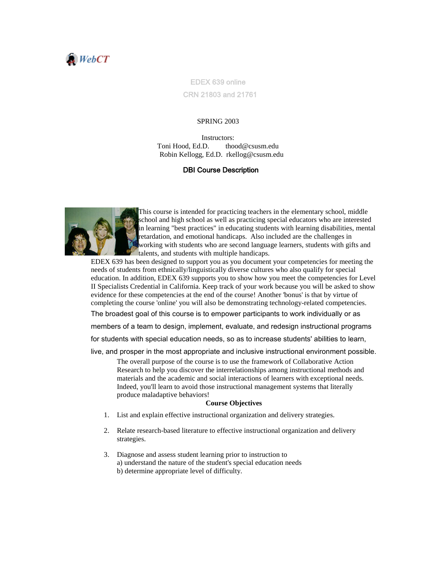

EDEX 639 online CRN 21803 and 21761

### SPRING 2003

Instructors: Toni Hood, Ed.D. thood@csusm.edu Robin Kellogg, Ed.D. rkellog@csusm.edu

#### DBI Course Description



This course is intended for practicing teachers in the elementary school, middle school and high school as well as practicing special educators who are interested in learning "best practices" in educating students with learning disabilities, mental retardation, and emotional handicaps. Also included are the challenges in working with students who are second language learners, students with gifts and talents, and students with multiple handicaps.

EDEX 639 has been designed to support you as you document your competencies for meeting the needs of students from ethnically/linguistically diverse cultures who also qualify for special education. In addition, EDEX 639 supports you to show how you meet the competencies for Level II Specialists Credential in California. Keep track of your work because you will be asked to show evidence for these competencies at the end of the course! Another 'bonus' is that by virtue of completing the course 'online' you will also be demonstrating technology-related competencies.

The broadest goal of this course is to empower participants to work individually or as

members of a team to design, implement, evaluate, and redesign instructional programs

for students with special education needs, so as to increase students' abilities to learn,

live, and prosper in the most appropriate and inclusive instructional environment possible.

The overall purpose of the course is to use the framework of Collaborative Action Research to help you discover the interrelationships among instructional methods and materials and the academic and social interactions of learners with exceptional needs. Indeed, you'll learn to avoid those instructional management systems that literally produce maladaptive behaviors!

#### **Course Objectives**

- 1. List and explain effective instructional organization and delivery strategies.
- 2. Relate research-based literature to effective instructional organization and delivery strategies.
- 3. Diagnose and assess student learning prior to instruction to a) understand the nature of the student's special education needs b) determine appropriate level of difficulty.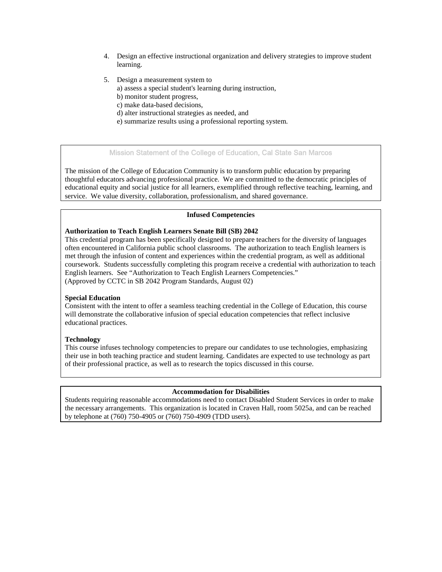- 4. Design an effective instructional organization and delivery strategies to improve student learning.
- 5. Design a measurement system to a) assess a special student's learning during instruction,
	- b) monitor student progress,
	- c) make data-based decisions,
	- d) alter instructional strategies as needed, and
	- e) summarize results using a professional reporting system.

# Mission Statement of the College of Education, Cal State San Marcos

The mission of the College of Education Community is to transform public education by preparing thoughtful educators advancing professional practice. We are committed to the democratic principles of educational equity and social justice for all learners, exemplified through reflective teaching, learning, and service. We value diversity, collaboration, professionalism, and shared governance.

### **Infused Competencies**

### **Authorization to Teach English Learners Senate Bill (SB) 2042**

This credential program has been specifically designed to prepare teachers for the diversity of languages often encountered in California public school classrooms. The authorization to teach English learners is met through the infusion of content and experiences within the credential program, as well as additional coursework. Students successfully completing this program receive a credential with authorization to teach English learners. See "Authorization to Teach English Learners Competencies." (Approved by CCTC in SB 2042 Program Standards, August 02)

## **Special Education**

Consistent with the intent to offer a seamless teaching credential in the College of Education, this course will demonstrate the collaborative infusion of special education competencies that reflect inclusive educational practices.

## **Technology**

This course infuses technology competencies to prepare our candidates to use technologies, emphasizing their use in both teaching practice and student learning. Candidates are expected to use technology as part of their professional practice, as well as to research the topics discussed in this course.

#### **Accommodation for Disabilities**

Students requiring reasonable accommodations need to contact Disabled Student Services in order to make the necessary arrangements. This organization is located in Craven Hall, room 5025a, and can be reached by telephone at (760) 750-4905 or (760) 750-4909 (TDD users).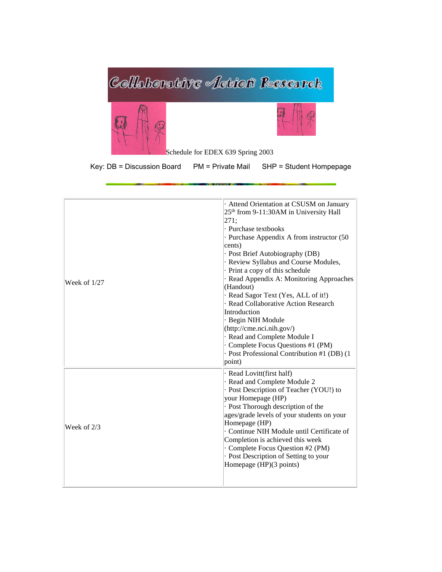

Key: DB = Discussion Board PM = Private Mail SHP = Student Hompepage

| Week of $1/27$ | · Attend Orientation at CSUSM on January<br>$25th$ from 9-11:30AM in University Hall<br>271;<br>· Purchase textbooks<br>· Purchase Appendix A from instructor (50<br>cents)<br>· Post Brief Autobiography (DB)<br>· Review Syllabus and Course Modules,<br>· Print a copy of this schedule<br>· Read Appendix A: Monitoring Approaches<br>(Handout)<br>· Read Sagor Text (Yes, ALL of it!)<br>· Read Collaborative Action Research<br>Introduction<br>· Begin NIH Module<br>(http://cme.nci.nih.gov/)<br>· Read and Complete Module I<br>Complete Focus Questions #1 (PM)<br>· Post Professional Contribution #1 (DB) (1<br>point) |
|----------------|------------------------------------------------------------------------------------------------------------------------------------------------------------------------------------------------------------------------------------------------------------------------------------------------------------------------------------------------------------------------------------------------------------------------------------------------------------------------------------------------------------------------------------------------------------------------------------------------------------------------------------|
| Week of $2/3$  | · Read Lovitt(first half)<br>· Read and Complete Module 2<br>· Post Description of Teacher (YOU!) to<br>your Homepage (HP)<br>· Post Thorough description of the<br>ages/grade levels of your students on your<br>Homepage (HP)<br>Continue NIH Module until Certificate of<br>Completion is achieved this week<br>· Complete Focus Question #2 (PM)<br>· Post Description of Setting to your<br>Homepage (HP)(3 points)                                                                                                                                                                                                           |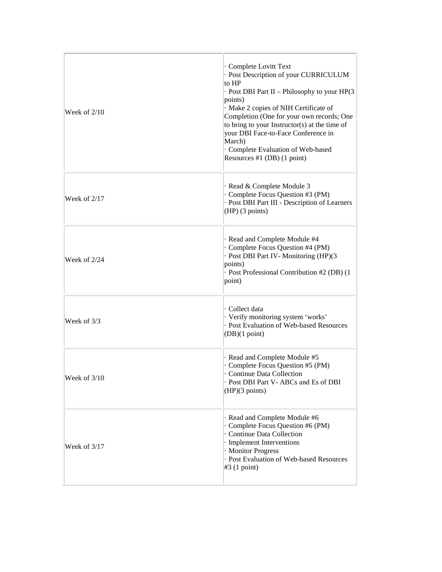| Week of $2/10$ | · Complete Lovitt Text<br>· Post Description of your CURRICULUM<br>to HP<br>- Post DBI Part II - Philosophy to your HP(3)<br>points)<br>Make 2 copies of NIH Certificate of<br>Completion (One for your own records; One<br>to bring to your Instructor(s) at the time of<br>your DBI Face-to-Face Conference in<br>March)<br>Complete Evaluation of Web-based<br>Resources #1 (DB) (1 point) |
|----------------|-----------------------------------------------------------------------------------------------------------------------------------------------------------------------------------------------------------------------------------------------------------------------------------------------------------------------------------------------------------------------------------------------|
| Week of 2/17   | · Read & Complete Module 3<br>· Complete Focus Question #3 (PM)<br>· Post DBI Part III - Description of Learners<br>$(HP)$ (3 points)                                                                                                                                                                                                                                                         |
| Week of 2/24   | · Read and Complete Module #4<br>· Complete Focus Question #4 (PM)<br>· Post DBI Part IV-Monitoring (HP)(3<br>points)<br>· Post Professional Contribution #2 (DB) (1<br>point)                                                                                                                                                                                                                |
| Week of 3/3    | Collect data<br>· Verify monitoring system 'works'<br>- Post Evaluation of Web-based Resources<br>(DB)(1 point)                                                                                                                                                                                                                                                                               |
| Week of 3/10   | · Read and Complete Module #5<br>Complete Focus Question #5 (PM)<br><b>Continue Data Collection</b><br>· Post DBI Part V- ABCs and Es of DBI<br>(HP)(3 points)                                                                                                                                                                                                                                |
| Week of $3/17$ | · Read and Complete Module #6<br>· Complete Focus Question #6 (PM)<br>· Continue Data Collection<br>· Implement Interventions<br>· Monitor Progress<br>- Post Evaluation of Web-based Resources<br>$\#3$ (1 point)                                                                                                                                                                            |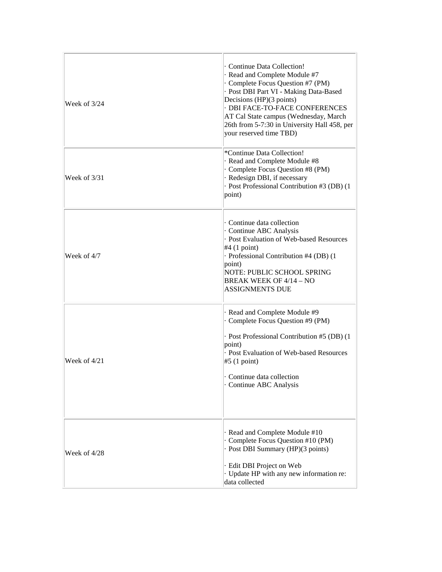| Week of $3/24$ | · Continue Data Collection!<br>· Read and Complete Module #7<br>· Complete Focus Question #7 (PM)<br>· Post DBI Part VI - Making Data-Based<br>Decisions (HP)(3 points)<br>· DBI FACE-TO-FACE CONFERENCES<br>AT Cal State campus (Wednesday, March<br>26th from 5-7:30 in University Hall 458, per<br>your reserved time TBD) |
|----------------|-------------------------------------------------------------------------------------------------------------------------------------------------------------------------------------------------------------------------------------------------------------------------------------------------------------------------------|
| Week of 3/31   | *Continue Data Collection!<br>· Read and Complete Module #8<br>Complete Focus Question #8 (PM)<br>· Redesign DBI, if necessary<br>· Post Professional Contribution #3 (DB) (1<br>point)                                                                                                                                       |
| Week of 4/7    | Continue data collection<br>· Continue ABC Analysis<br>- Post Evaluation of Web-based Resources<br>$#4$ (1 point)<br>· Professional Contribution #4 (DB) (1<br>point)<br>NOTE: PUBLIC SCHOOL SPRING<br><b>BREAK WEEK OF 4/14 - NO</b><br><b>ASSIGNMENTS DUE</b>                                                               |
| Week of 4/21   | Read and Complete Module #9<br>Complete Focus Question #9 (PM)<br>· Post Professional Contribution #5 (DB) (1<br>point)<br>- Post Evaluation of Web-based Resources<br>#5(1 point)<br>Continue data collection<br>Continue ABC Analysis                                                                                       |
| Week of 4/28   | · Read and Complete Module #10<br>Complete Focus Question #10 (PM)<br>Post DBI Summary (HP)(3 points)<br>· Edit DBI Project on Web<br>· Update HP with any new information re:<br>data collected                                                                                                                              |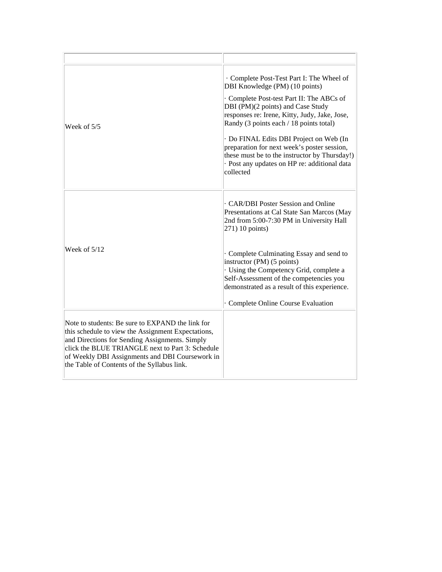| Week of 5/5                                                                                                                                                                                                                                                                                                    | · Complete Post-Test Part I: The Wheel of<br>DBI Knowledge (PM) (10 points)<br>· Complete Post-test Part II: The ABCs of<br>DBI (PM)(2 points) and Case Study<br>responses re: Irene, Kitty, Judy, Jake, Jose,<br>Randy (3 points each / 18 points total)<br>· Do FINAL Edits DBI Project on Web (In<br>preparation for next week's poster session,<br>these must be to the instructor by Thursday!)<br>- Post any updates on HP re: additional data<br>collected |
|----------------------------------------------------------------------------------------------------------------------------------------------------------------------------------------------------------------------------------------------------------------------------------------------------------------|-------------------------------------------------------------------------------------------------------------------------------------------------------------------------------------------------------------------------------------------------------------------------------------------------------------------------------------------------------------------------------------------------------------------------------------------------------------------|
| Week of $5/12$                                                                                                                                                                                                                                                                                                 | CAR/DBI Poster Session and Online<br>Presentations at Cal State San Marcos (May<br>2nd from 5:00-7:30 PM in University Hall<br>$(271)$ 10 points)<br>· Complete Culminating Essay and send to<br>instructor (PM) (5 points)<br>· Using the Competency Grid, complete a<br>Self-Assessment of the competencies you<br>demonstrated as a result of this experience.<br>Complete Online Course Evaluation                                                            |
| Note to students: Be sure to EXPAND the link for<br>this schedule to view the Assignment Expectations,<br>and Directions for Sending Assignments. Simply<br>click the BLUE TRIANGLE next to Part 3: Schedule<br>of Weekly DBI Assignments and DBI Coursework in<br>the Table of Contents of the Syllabus link. |                                                                                                                                                                                                                                                                                                                                                                                                                                                                   |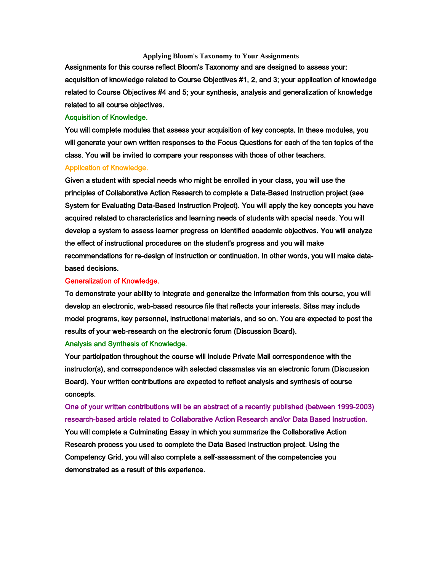## **Applying Bloom's Taxonomy to Your Assignments**

Assignments for this course reflect Bloom's Taxonomy and are designed to assess your: acquisition of knowledge related to Course Objectives #1, 2, and 3; your application of knowledge related to Course Objectives #4 and 5; your synthesis, analysis and generalization of knowledge related to all course objectives.

### Acquisition of Knowledge.

You will complete modules that assess your acquisition of key concepts. In these modules, you will generate your own written responses to the Focus Questions for each of the ten topics of the class. You will be invited to compare your responses with those of other teachers.

### Application of Knowledge.

Given a student with special needs who might be enrolled in your class, you will use the principles of Collaborative Action Research to complete a Data-Based Instruction project (see System for Evaluating Data-Based Instruction Project). You will apply the key concepts you have acquired related to characteristics and learning needs of students with special needs. You will develop a system to assess learner progress on identified academic objectives. You will analyze the effect of instructional procedures on the student's progress and you will make recommendations for re-design of instruction or continuation. In other words, you will make databased decisions.

#### Generalization of Knowledge.

To demonstrate your ability to integrate and generalize the information from this course, you will develop an electronic, web-based resource file that reflects your interests. Sites may include model programs, key personnel, instructional materials, and so on. You are expected to post the results of your web-research on the electronic forum (Discussion Board).

### Analysis and Synthesis of Knowledge.

Your participation throughout the course will include Private Mail correspondence with the instructor(s), and correspondence with selected classmates via an electronic forum (Discussion Board). Your written contributions are expected to reflect analysis and synthesis of course concepts.

One of your written contributions will be an abstract of a recently published (between 1999-2003) research-based article related to Collaborative Action Research and/or Data Based Instruction. You will complete a Culminating Essay in which you summarize the Collaborative Action Research process you used to complete the Data Based Instruction project. Using the Competency Grid, you will also complete a self-assessment of the competencies you demonstrated as a result of this experience.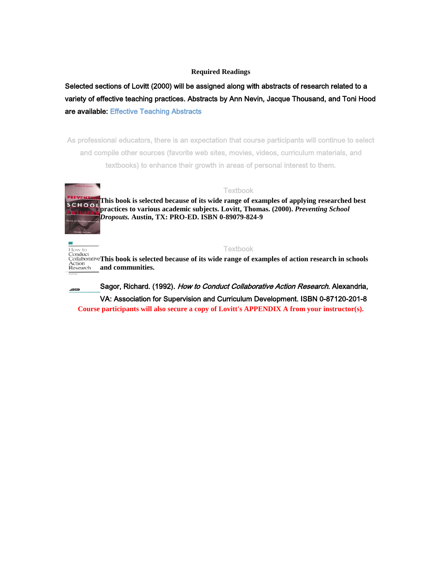# **Required Readings**

Selected sections of Lovitt (2000) will be assigned along with abstracts of research related to a variety of effective teaching practices. Abstracts by Ann Nevin, Jacque Thousand, and Toni Hood are available: [Effective Teaching Abstracts](javascript:doWindowOpen() 

As professional educators, there is an expectation that course participants will continue to select and compile other sources (favorite web sites, movies, videos, curriculum materials, and textbooks) to enhance their growth in areas of personal interest to them.



**Textbook This book is selected because of its wide range of examples of applying researched best SCHOOL practices to various academic subjects. Lovitt, Thomas. (2000).** *Preventing School Dropouts.* **Austin, TX: PRO-ED. ISBN 0-89079-824-9** 

Textbook **This book is selected because of its wide range of examples of action research in schools and communities.** 

Sagor, Richard. (1992). How to Conduct Collaborative Action Research. Alexandria, VA: Association for Supervision and Curriculum Development. ISBN 0-87120-201-8 **Course participants will also secure a copy of Lovitt's APPENDIX A from your instructor(s).**